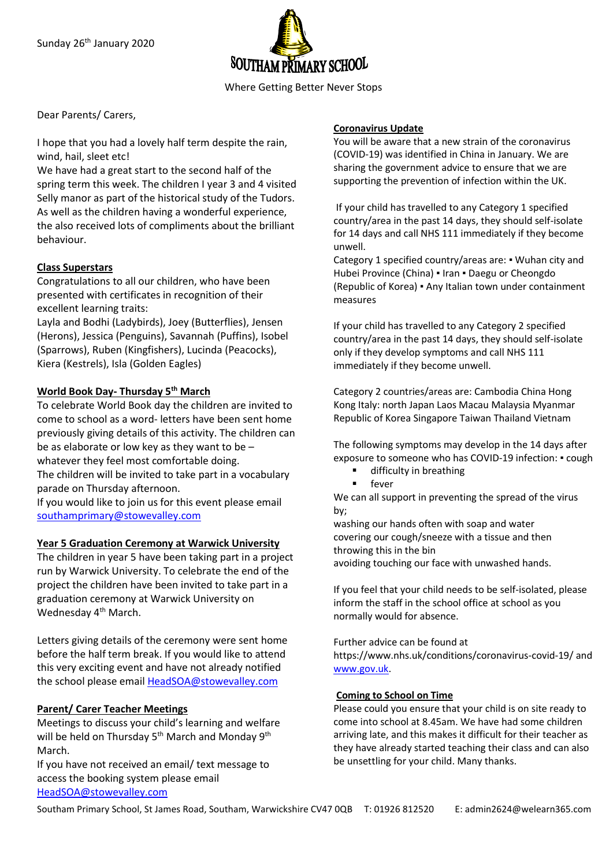

Where Getting Better Never Stops

Dear Parents/ Carers,

I hope that you had a lovely half term despite the rain, wind, hail, sleet etc!

We have had a great start to the second half of the spring term this week. The children I year 3 and 4 visited Selly manor as part of the historical study of the Tudors. As well as the children having a wonderful experience, the also received lots of compliments about the brilliant behaviour.

## **Class Superstars**

Congratulations to all our children, who have been presented with certificates in recognition of their excellent learning traits:

Layla and Bodhi (Ladybirds), Joey (Butterflies), Jensen (Herons), Jessica (Penguins), Savannah (Puffins), Isobel (Sparrows), Ruben (Kingfishers), Lucinda (Peacocks), Kiera (Kestrels), Isla (Golden Eagles)

# **World Book Day- Thursday 5th March**

To celebrate World Book day the children are invited to come to school as a word- letters have been sent home previously giving details of this activity. The children can be as elaborate or low key as they want to be – whatever they feel most comfortable doing. The children will be invited to take part in a vocabulary

parade on Thursday afternoon.

If you would like to join us for this event please email [southamprimary@stowevalley.com](mailto:southamprimary@stowevalley.com)

### **Year 5 Graduation Ceremony at Warwick University**

The children in year 5 have been taking part in a project run by Warwick University. To celebrate the end of the project the children have been invited to take part in a graduation ceremony at Warwick University on Wednesday 4<sup>th</sup> March.

Letters giving details of the ceremony were sent home before the half term break. If you would like to attend this very exciting event and have not already notified the school please email [HeadSOA@stowevalley.com](mailto:HeadSOA@stowevalley.com)

### **Parent/ Carer Teacher Meetings**

Meetings to discuss your child's learning and welfare will be held on Thursday 5<sup>th</sup> March and Monday 9<sup>th</sup> March.

If you have not received an email/ text message to access the booking system please email [HeadSOA@stowevalley.com](mailto:HeadSOA@stowevalley.com)

### **Coronavirus Update**

You will be aware that a new strain of the coronavirus (COVID-19) was identified in China in January. We are sharing the government advice to ensure that we are supporting the prevention of infection within the UK.

If your child has travelled to any Category 1 specified country/area in the past 14 days, they should self-isolate for 14 days and call NHS 111 immediately if they become unwell.

Category 1 specified country/areas are: ▪ Wuhan city and Hubei Province (China) ▪ Iran ▪ Daegu or Cheongdo (Republic of Korea) ▪ Any Italian town under containment measures

If your child has travelled to any Category 2 specified country/area in the past 14 days, they should self-isolate only if they develop symptoms and call NHS 111 immediately if they become unwell.

Category 2 countries/areas are: Cambodia China Hong Kong Italy: north Japan Laos Macau Malaysia Myanmar Republic of Korea Singapore Taiwan Thailand Vietnam

The following symptoms may develop in the 14 days after exposure to someone who has COVID-19 infection: ▪ cough

- difficulty in breathing
- fever

We can all support in preventing the spread of the virus by;

washing our hands often with soap and water covering our cough/sneeze with a tissue and then throwing this in the bin avoiding touching our face with unwashed hands.

If you feel that your child needs to be self-isolated, please inform the staff in the school office at school as you normally would for absence.

Further advice can be found at https://www.nhs.uk/conditions/coronavirus-covid-19/ and [www.gov.uk.](http://www.gov.uk/)

### **Coming to School on Time**

Please could you ensure that your child is on site ready to come into school at 8.45am. We have had some children arriving late, and this makes it difficult for their teacher as they have already started teaching their class and can also be unsettling for your child. Many thanks.